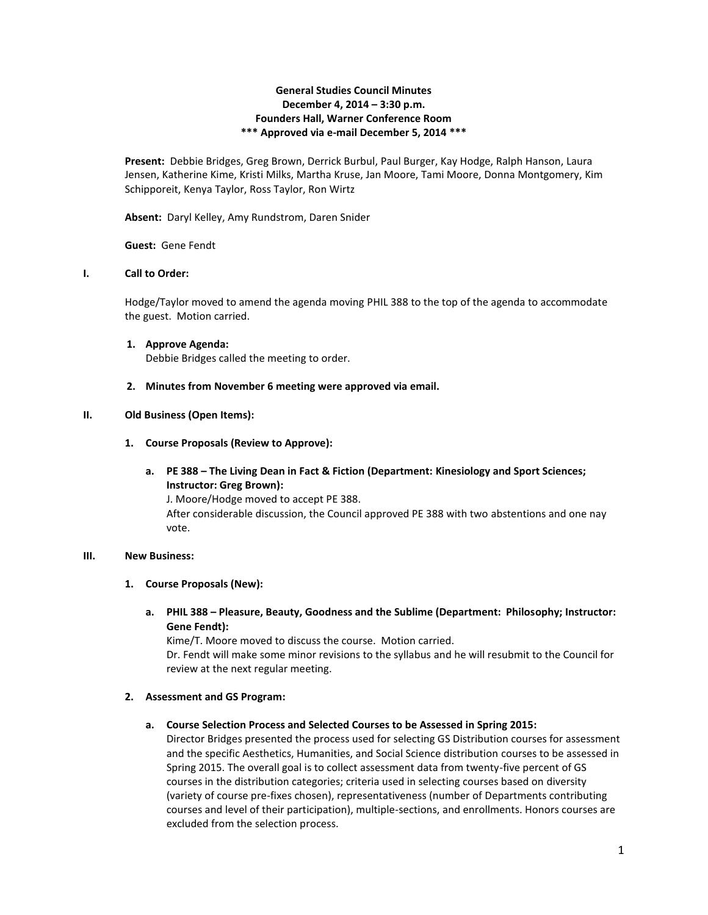# **General Studies Council Minutes December 4, 2014 – 3:30 p.m. Founders Hall, Warner Conference Room \*\*\* Approved via e-mail December 5, 2014 \*\*\***

**Present:** Debbie Bridges, Greg Brown, Derrick Burbul, Paul Burger, Kay Hodge, Ralph Hanson, Laura Jensen, Katherine Kime, Kristi Milks, Martha Kruse, Jan Moore, Tami Moore, Donna Montgomery, Kim Schipporeit, Kenya Taylor, Ross Taylor, Ron Wirtz

**Absent:** Daryl Kelley, Amy Rundstrom, Daren Snider

**Guest:** Gene Fendt

## **I. Call to Order:**

Hodge/Taylor moved to amend the agenda moving PHIL 388 to the top of the agenda to accommodate the guest. Motion carried.

- **1. Approve Agenda:** Debbie Bridges called the meeting to order.
- **2. Minutes from November 6 meeting were approved via email.**

## **II. Old Business (Open Items):**

- **1. Course Proposals (Review to Approve):**
	- **a. PE 388 – The Living Dean in Fact & Fiction (Department: Kinesiology and Sport Sciences; Instructor: Greg Brown):**

J. Moore/Hodge moved to accept PE 388. After considerable discussion, the Council approved PE 388 with two abstentions and one nay vote.

#### **III. New Business:**

#### **1. Course Proposals (New):**

**a. PHIL 388 – Pleasure, Beauty, Goodness and the Sublime (Department: Philosophy; Instructor: Gene Fendt):**

Kime/T. Moore moved to discuss the course. Motion carried.

Dr. Fendt will make some minor revisions to the syllabus and he will resubmit to the Council for review at the next regular meeting.

#### **2. Assessment and GS Program:**

#### **a. Course Selection Process and Selected Courses to be Assessed in Spring 2015:**

Director Bridges presented the process used for selecting GS Distribution courses for assessment and the specific Aesthetics, Humanities, and Social Science distribution courses to be assessed in Spring 2015. The overall goal is to collect assessment data from twenty-five percent of GS courses in the distribution categories; criteria used in selecting courses based on diversity (variety of course pre-fixes chosen), representativeness (number of Departments contributing courses and level of their participation), multiple-sections, and enrollments. Honors courses are excluded from the selection process.